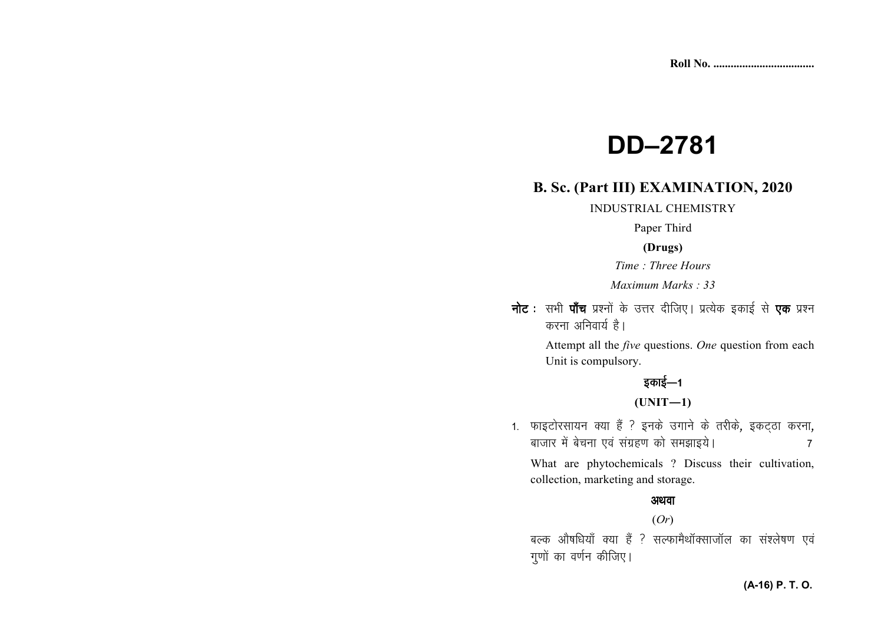# **DD–2781**

# **B. Sc. (Part III) EXAMINATION, 2020**

INDUSTRIAL CHEMISTRY

Paper Third

## **(Drugs)**

*Time : Three Hours* 

*Maximum Marks : 33*

**नोट** : सभी **पाँच** प्रश्नों के उत्तर दीजिए। प्रत्येक इकाई से **एक** प्रश्न करना अनिवार्य है।

> Attempt all the *five* questions. *One* question from each Unit is compulsory.

# डकाई—1

**(UNIT—1)** 

1. फाइटोरसायन क्या हैं ? इनके उगाने के तरीके, इकट्ठा करना, cktkj esa cspuk ,oa laxzg.k dks le>kb;sA 7

What are phytochemicals ? Discuss their cultivation, collection, marketing and storage.

#### अथवा

#### (*Or*)

बल्क औषधियाँ क्या हैं ? सल्फामैथॉक्साजॉल का संश्लेषण एवं गूणों का वर्णन कीजिए।

## **(A-16) P. T. O.**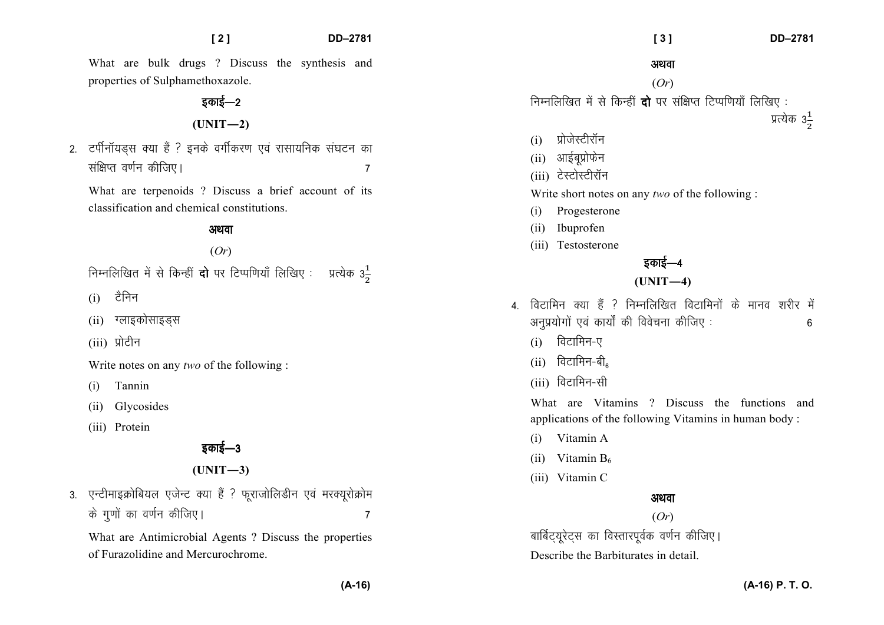What are bulk drugs ? Discuss the synthesis and properties of Sulphamethoxazole.

# इकाई—2

**(UNIT—2)** 

2. टर्पीनॉयडस क्या हैं ? इनके वर्गीकरण एवं रासायनिक संघटन का laf{kIr o.kZu dhft,A 7

What are terpenoids ? Discuss a brief account of its classification and chemical constitutions.

#### अथवा

#### (*Or*)

निम्नलिखित में से किन्हीं **दो** पर टिप्पणियाँ लिखिए : प्रत्येक 3<sup>1</sup>

- $(i)$  टैनिन
- $(i)$  ग्लाइकोसाइडस
- (iii) प्रोटीन

Write notes on any *two* of the following :

- (i) Tannin
- (ii) Glycosides
- (iii) Protein

# डकाई—3

**(UNIT—3)** 

3. एन्टीमाइक्रोबियल एजेन्ट क्या हैं ? फूराजोलिडीन एवं मरक्यूरोक्रोम ds xq.kksa dk o.kZu dhft,A 7

What are Antimicrobial Agents ? Discuss the properties of Furazolidine and Mercurochrome.

अथवा

#### (*Or*)

निम्नलिखित में से किन्हीं **दो** पर संक्षिप्त टिप्पणियाँ लिखिए:

णात्येक  $3\frac{1}{2}$ 

- $(i)$  प्रोजेस्टीरॉन
- (ii) आईबूप्रोफेन
- (iii) टेस्टोस्टीरॉन

Write short notes on any *two* of the following :

- (i) Progesterone
- (ii) Ibuprofen
- (iii) Testosterone

# डकाई—4

# **(UNIT—4)**

- $\mu$  विटामिन क्या हैं ? निम्नलिखित विटामिनों के मानव शरीर में अनुप्रयोगों एवं कार्यों की विवेचना कीजिए : 6
	- $(i)$  विटामिन-ए
	- $(ii)$  विटामिन-बी $_{e}$
	- $(iii)$  विटामिन-सी

What are Vitamins ? Discuss the functions and applications of the following Vitamins in human body :

- (i) Vitamin A
- (ii) Vitamin  $B_6$
- (iii) Vitamin C

## अथवा

#### (*Or*)

बार्बिट्यूरेट्स का विस्तारपूर्वक वर्णन कीजिए। Describe the Barbiturates in detail.